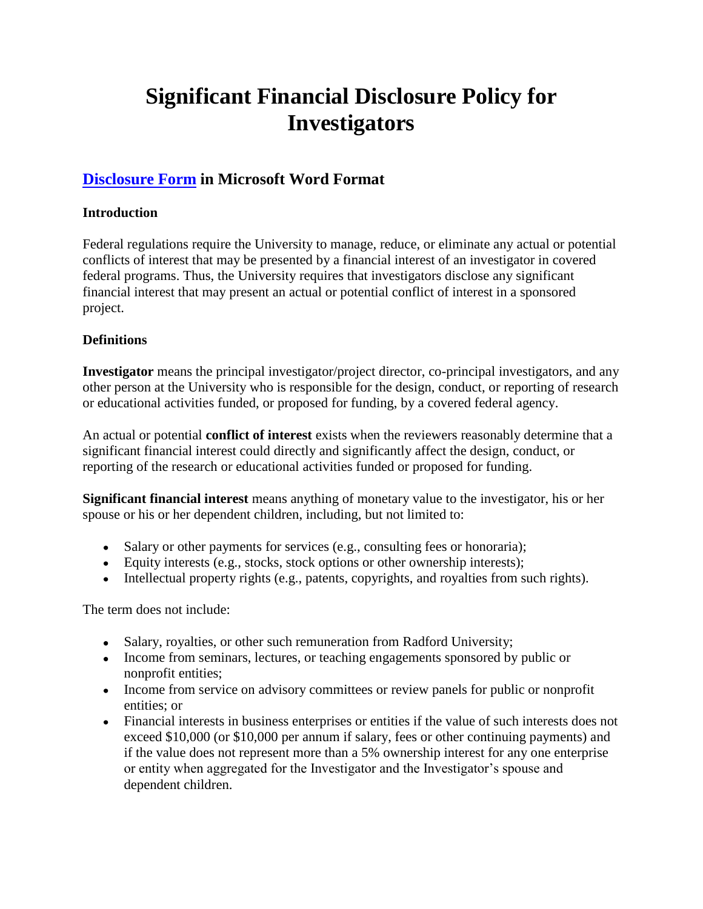# **Significant Financial Disclosure Policy for Investigators**

## **[Disclosure Form](Significant%20Financial%20Interest%20Disclosure%20Form.doc) in Microsoft Word Format**

## **Introduction**

Federal regulations require the University to manage, reduce, or eliminate any actual or potential conflicts of interest that may be presented by a financial interest of an investigator in covered federal programs. Thus, the University requires that investigators disclose any significant financial interest that may present an actual or potential conflict of interest in a sponsored project.

### **Definitions**

**Investigator** means the principal investigator/project director, co-principal investigators, and any other person at the University who is responsible for the design, conduct, or reporting of research or educational activities funded, or proposed for funding, by a covered federal agency.

An actual or potential **conflict of interest** exists when the reviewers reasonably determine that a significant financial interest could directly and significantly affect the design, conduct, or reporting of the research or educational activities funded or proposed for funding.

**Significant financial interest** means anything of monetary value to the investigator, his or her spouse or his or her dependent children, including, but not limited to:

- Salary or other payments for services (e.g., consulting fees or honoraria);
- Equity interests (e.g., stocks, stock options or other ownership interests);
- Intellectual property rights (e.g., patents, copyrights, and royalties from such rights).

The term does not include:

- Salary, royalties, or other such remuneration from Radford University;
- Income from seminars, lectures, or teaching engagements sponsored by public or nonprofit entities;
- Income from service on advisory committees or review panels for public or nonprofit entities; or
- Financial interests in business enterprises or entities if the value of such interests does not exceed \$10,000 (or \$10,000 per annum if salary, fees or other continuing payments) and if the value does not represent more than a 5% ownership interest for any one enterprise or entity when aggregated for the Investigator and the Investigator's spouse and dependent children.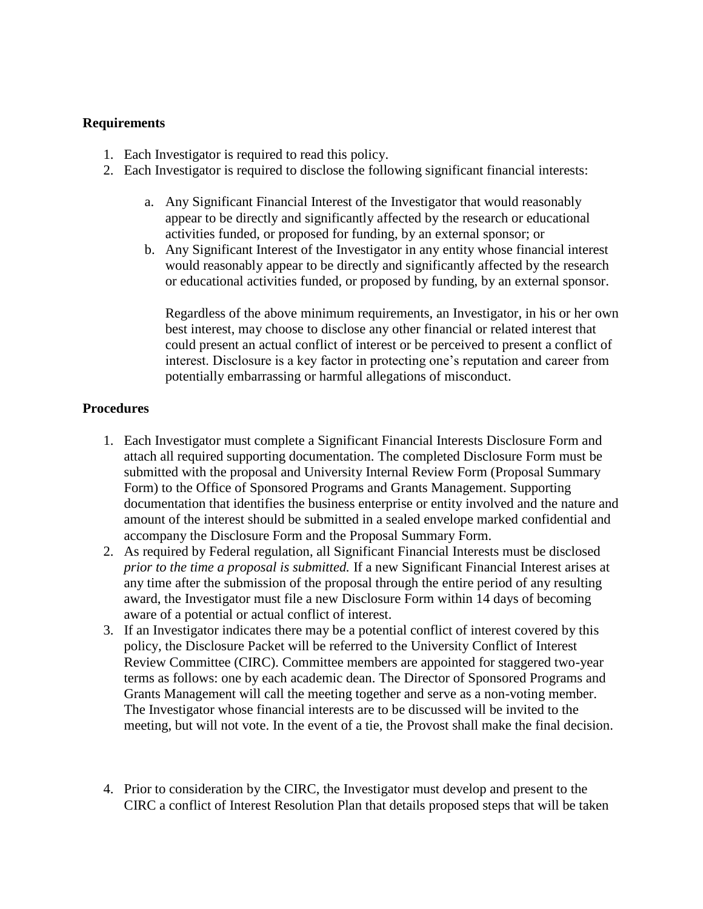#### **Requirements**

- 1. Each Investigator is required to read this policy.
- 2. Each Investigator is required to disclose the following significant financial interests:
	- a. Any Significant Financial Interest of the Investigator that would reasonably appear to be directly and significantly affected by the research or educational activities funded, or proposed for funding, by an external sponsor; or
	- b. Any Significant Interest of the Investigator in any entity whose financial interest would reasonably appear to be directly and significantly affected by the research or educational activities funded, or proposed by funding, by an external sponsor.

Regardless of the above minimum requirements, an Investigator, in his or her own best interest, may choose to disclose any other financial or related interest that could present an actual conflict of interest or be perceived to present a conflict of interest. Disclosure is a key factor in protecting one's reputation and career from potentially embarrassing or harmful allegations of misconduct.

### **Procedures**

- 1. Each Investigator must complete a Significant Financial Interests Disclosure Form and attach all required supporting documentation. The completed Disclosure Form must be submitted with the proposal and University Internal Review Form (Proposal Summary Form) to the Office of Sponsored Programs and Grants Management. Supporting documentation that identifies the business enterprise or entity involved and the nature and amount of the interest should be submitted in a sealed envelope marked confidential and accompany the Disclosure Form and the Proposal Summary Form.
- 2. As required by Federal regulation, all Significant Financial Interests must be disclosed *prior to the time a proposal is submitted.* If a new Significant Financial Interest arises at any time after the submission of the proposal through the entire period of any resulting award, the Investigator must file a new Disclosure Form within 14 days of becoming aware of a potential or actual conflict of interest.
- 3. If an Investigator indicates there may be a potential conflict of interest covered by this policy, the Disclosure Packet will be referred to the University Conflict of Interest Review Committee (CIRC). Committee members are appointed for staggered two-year terms as follows: one by each academic dean. The Director of Sponsored Programs and Grants Management will call the meeting together and serve as a non-voting member. The Investigator whose financial interests are to be discussed will be invited to the meeting, but will not vote. In the event of a tie, the Provost shall make the final decision.
- 4. Prior to consideration by the CIRC, the Investigator must develop and present to the CIRC a conflict of Interest Resolution Plan that details proposed steps that will be taken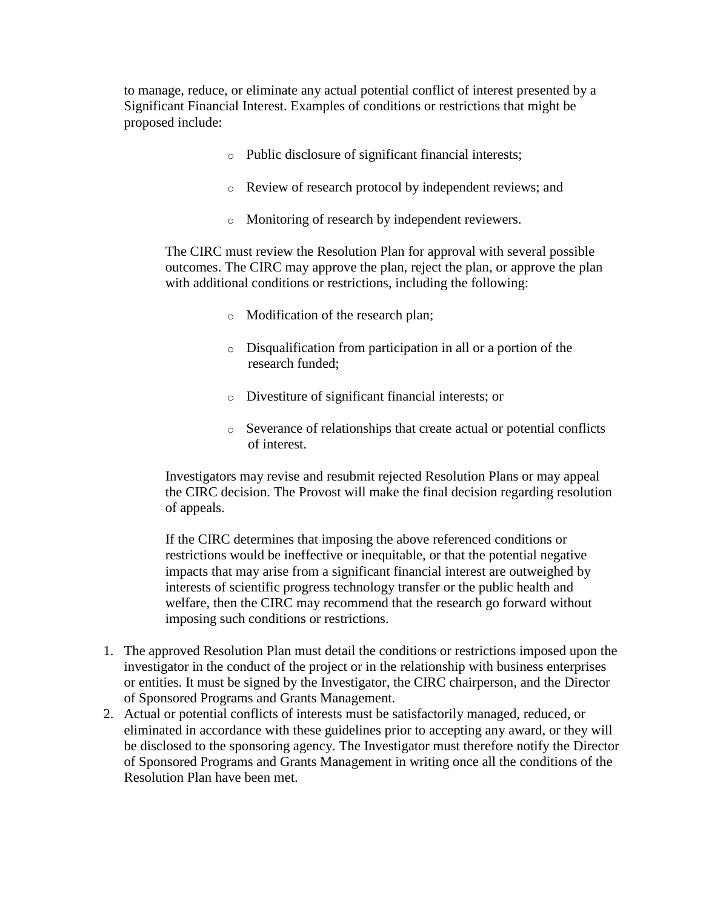to manage, reduce, or eliminate any actual potential conflict of interest presented by a Significant Financial Interest. Examples of conditions or restrictions that might be proposed include:

- o Public disclosure of significant financial interests;
- o Review of research protocol by independent reviews; and
- o Monitoring of research by independent reviewers.

The CIRC must review the Resolution Plan for approval with several possible outcomes. The CIRC may approve the plan, reject the plan, or approve the plan with additional conditions or restrictions, including the following:

- o Modification of the research plan;
- o Disqualification from participation in all or a portion of the research funded;
- o Divestiture of significant financial interests; or
- o Severance of relationships that create actual or potential conflicts of interest.

Investigators may revise and resubmit rejected Resolution Plans or may appeal the CIRC decision. The Provost will make the final decision regarding resolution of appeals.

If the CIRC determines that imposing the above referenced conditions or restrictions would be ineffective or inequitable, or that the potential negative impacts that may arise from a significant financial interest are outweighed by interests of scientific progress technology transfer or the public health and welfare, then the CIRC may recommend that the research go forward without imposing such conditions or restrictions.

- 1. The approved Resolution Plan must detail the conditions or restrictions imposed upon the investigator in the conduct of the project or in the relationship with business enterprises or entities. It must be signed by the Investigator, the CIRC chairperson, and the Director of Sponsored Programs and Grants Management.
- 2. Actual or potential conflicts of interests must be satisfactorily managed, reduced, or eliminated in accordance with these guidelines prior to accepting any award, or they will be disclosed to the sponsoring agency. The Investigator must therefore notify the Director of Sponsored Programs and Grants Management in writing once all the conditions of the Resolution Plan have been met.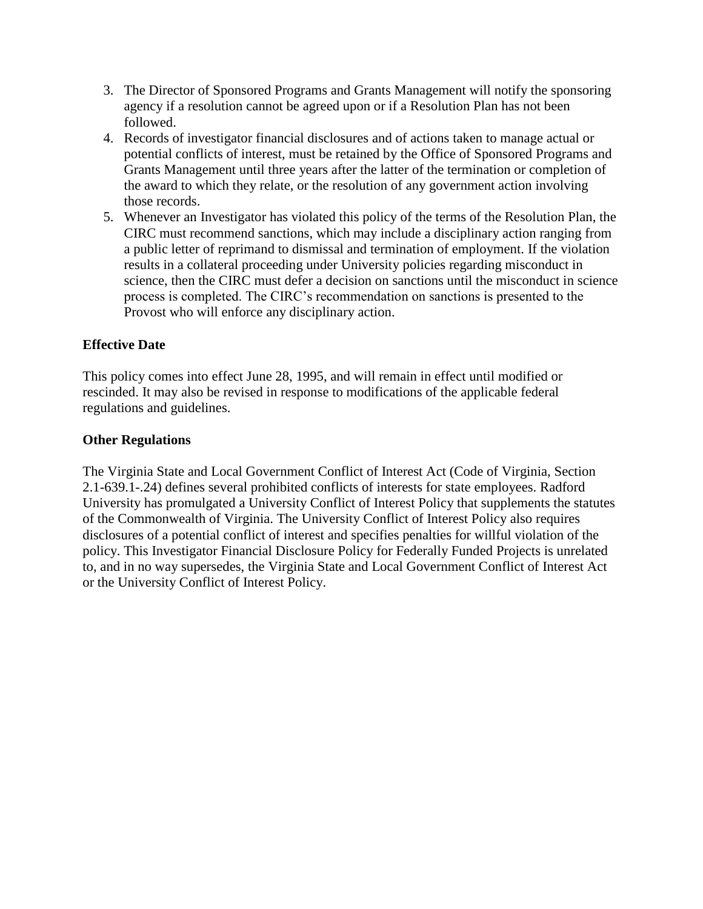- 3. The Director of Sponsored Programs and Grants Management will notify the sponsoring agency if a resolution cannot be agreed upon or if a Resolution Plan has not been followed.
- 4. Records of investigator financial disclosures and of actions taken to manage actual or potential conflicts of interest, must be retained by the Office of Sponsored Programs and Grants Management until three years after the latter of the termination or completion of the award to which they relate, or the resolution of any government action involving those records.
- 5. Whenever an Investigator has violated this policy of the terms of the Resolution Plan, the CIRC must recommend sanctions, which may include a disciplinary action ranging from a public letter of reprimand to dismissal and termination of employment. If the violation results in a collateral proceeding under University policies regarding misconduct in science, then the CIRC must defer a decision on sanctions until the misconduct in science process is completed. The CIRC's recommendation on sanctions is presented to the Provost who will enforce any disciplinary action.

## **Effective Date**

This policy comes into effect June 28, 1995, and will remain in effect until modified or rescinded. It may also be revised in response to modifications of the applicable federal regulations and guidelines.

## **Other Regulations**

The Virginia State and Local Government Conflict of Interest Act (Code of Virginia, Section 2.1-639.1-.24) defines several prohibited conflicts of interests for state employees. Radford University has promulgated a University Conflict of Interest Policy that supplements the statutes of the Commonwealth of Virginia. The University Conflict of Interest Policy also requires disclosures of a potential conflict of interest and specifies penalties for willful violation of the policy. This Investigator Financial Disclosure Policy for Federally Funded Projects is unrelated to, and in no way supersedes, the Virginia State and Local Government Conflict of Interest Act or the University Conflict of Interest Policy.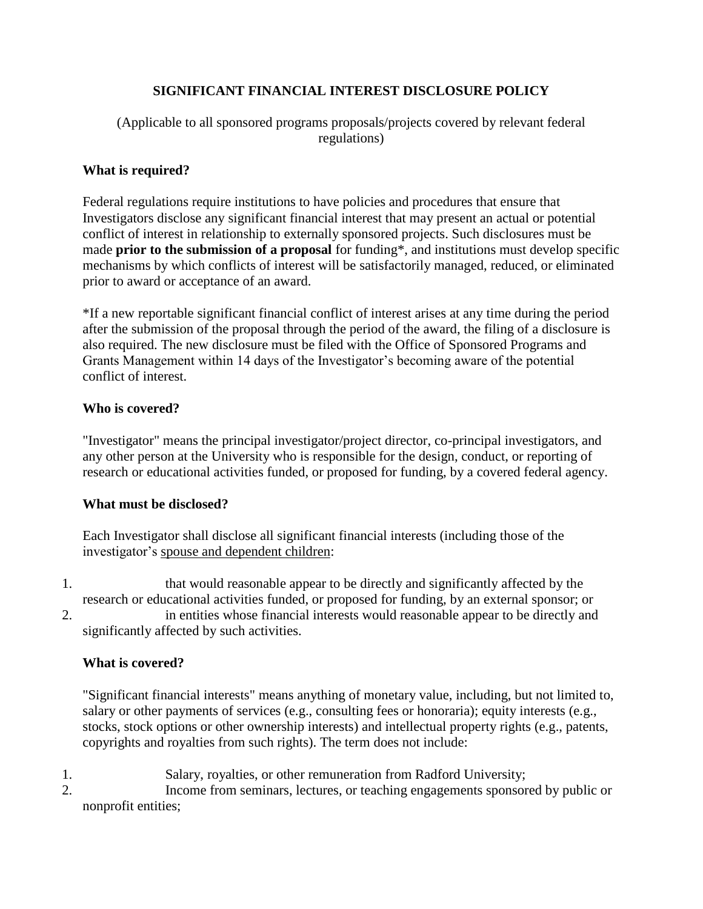## **SIGNIFICANT FINANCIAL INTEREST DISCLOSURE POLICY**

## (Applicable to all sponsored programs proposals/projects covered by relevant federal regulations)

## **What is required?**

Federal regulations require institutions to have policies and procedures that ensure that Investigators disclose any significant financial interest that may present an actual or potential conflict of interest in relationship to externally sponsored projects. Such disclosures must be made **prior to the submission of a proposal** for funding\*, and institutions must develop specific mechanisms by which conflicts of interest will be satisfactorily managed, reduced, or eliminated prior to award or acceptance of an award.

\*If a new reportable significant financial conflict of interest arises at any time during the period after the submission of the proposal through the period of the award, the filing of a disclosure is also required. The new disclosure must be filed with the Office of Sponsored Programs and Grants Management within 14 days of the Investigator's becoming aware of the potential conflict of interest.

### **Who is covered?**

"Investigator" means the principal investigator/project director, co-principal investigators, and any other person at the University who is responsible for the design, conduct, or reporting of research or educational activities funded, or proposed for funding, by a covered federal agency.

## **What must be disclosed?**

Each Investigator shall disclose all significant financial interests (including those of the investigator's spouse and dependent children:

- 1. that would reasonable appear to be directly and significantly affected by the research or educational activities funded, or proposed for funding, by an external sponsor; or
- 2. in entities whose financial interests would reasonable appear to be directly and significantly affected by such activities.

## **What is covered?**

"Significant financial interests" means anything of monetary value, including, but not limited to, salary or other payments of services (e.g., consulting fees or honoraria); equity interests (e.g., stocks, stock options or other ownership interests) and intellectual property rights (e.g., patents, copyrights and royalties from such rights). The term does not include:

- 1. Salary, royalties, or other remuneration from Radford University;
- 2. Income from seminars, lectures, or teaching engagements sponsored by public or nonprofit entities;